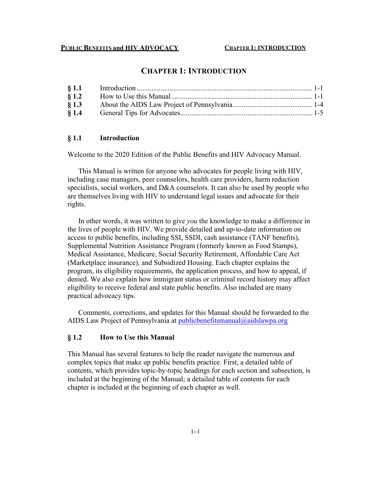# **CHAPTER 1: INTRODUCTION**

| $\S$ 1.2 |  |
|----------|--|
| § 1.3    |  |
| § 1.4    |  |

#### **§ 1.1 Introduction**

Welcome to the 2020 Edition of the Public Benefits and HIV Advocacy Manual.

This Manual is written for anyone who advocates for people living with HIV, including case managers, peer counselors, health care providers, harm reduction specialists, social workers, and D&A counselors. It can also be used by people who are themselves living with HIV to understand legal issues and advocate for their rights.

In other words, it was written to give *you* the knowledge to make a difference in the lives of people with HIV. We provide detailed and up-to-date information on access to public benefits, including SSI, SSDI, cash assistance (TANF benefits), Supplemental Nutrition Assistance Program (formerly known as Food Stamps), Medical Assistance, Medicare, Social Security Retirement, Affordable Care Act (Marketplace insurance), and Subsidized Housing. Each chapter explains the program, its eligibility requirements, the application process, and how to appeal, if denied. We also explain how immigrant status or criminal record history may affect eligibility to receive federal and state public benefits. Also included are many practical advocacy tips.

Comments, corrections, and updates for this Manual should be forwarded to the AIDS Law Project of Pennsylvania at publicbenefitsmanual@aidslawpa.org

## **§ 1.2 How to Use this Manual**

This Manual has several features to help the reader navigate the numerous and complex topics that make up public benefits practice. First, a detailed table of contents, which provides topic-by-topic headings for each section and subsection, is included at the beginning of the Manual; a detailed table of contents for each chapter is included at the beginning of each chapter as well.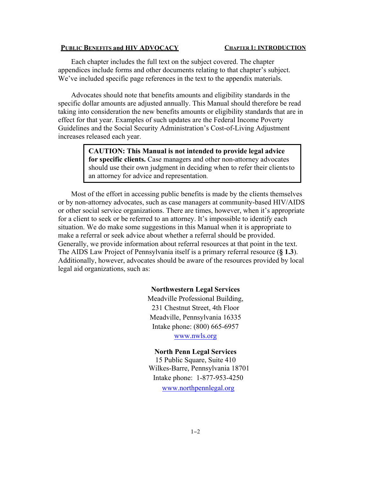#### **CHAPTER 1: INTRODUCTION**

Each chapter includes the full text on the subject covered. The chapter appendices include forms and other documents relating to that chapter's subject. We've included specific page references in the text to the appendix materials.

Advocates should note that benefits amounts and eligibility standards in the specific dollar amounts are adjusted annually. This Manual should therefore be read taking into consideration the new benefits amounts or eligibility standards that are in effect for that year. Examples of such updates are the Federal Income Poverty Guidelines and the Social Security Administration's Cost-of-Living Adjustment increases released each year.

> **CAUTION: This Manual is not intended to provide legal advice for specific clients.** Case managers and other non-attorney advocates should use their own judgment in deciding when to refer their clientsto an attorney for advice and representation.

Most of the effort in accessing public benefits is made by the clients themselves or by non-attorney advocates, such as case managers at community-based HIV/AIDS or other social service organizations. There are times, however, when it's appropriate for a client to seek or be referred to an attorney. It's impossible to identify each situation. We do make some suggestions in this Manual when it is appropriate to make a referral or seek advice about whether a referral should be provided. Generally, we provide information about referral resources at that point in the text. The AIDS Law Project of Pennsylvania itself is a primary referral resource (**§ 1.3**). Additionally, however, advocates should be aware of the resources provided by local legal aid organizations, such as:

#### **Northwestern Legal Services**

Meadville Professional Building, 231 Chestnut Street, 4th Floor Meadville, Pennsylvania 16335 Intake phone: (800) 665-6957 www.nwls.org

# **North Penn Legal Services**

15 Public Square, Suite 410 Wilkes-Barre, Pennsylvania 18701 Intake phone: 1-877-953-4250

www.northpennlegal.org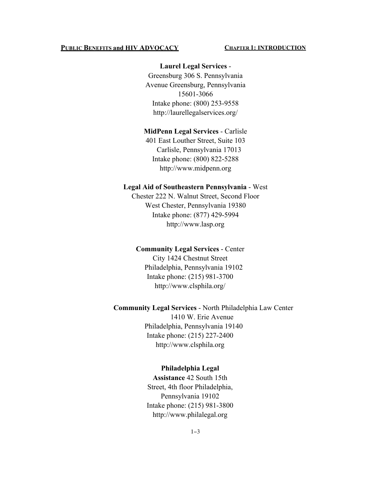#### **CHAPTER 1: INTRODUCTION**

### **Laurel Legal Services** -

Greensburg 306 S. Pennsylvania Avenue Greensburg, Pennsylvania 15601-3066 Intake phone: (800) 253-9558 http://laurellegalservices.org/

### **MidPenn Legal Services** - Carlisle

401 East Louther Street, Suite 103 Carlisle, Pennsylvania 17013 Intake phone: (800) 822-5288 http://www.midpenn.org

## **Legal Aid of Southeastern Pennsylvania** - West

Chester 222 N. Walnut Street, Second Floor West Chester, Pennsylvania 19380 Intake phone: (877) 429-5994 http://www.lasp.org

### **Community Legal Services** - Center

City 1424 Chestnut Street Philadelphia, Pennsylvania 19102 Intake phone: (215) 981-3700 http://www.clsphila.org/

### **Community Legal Services** - North Philadelphia Law Center

1410 W. Erie Avenue Philadelphia, Pennsylvania 19140 Intake phone: (215) 227-2400 http://www.clsphila.org

#### **Philadelphia Legal**

**Assistance** 42 South 15th Street, 4th floor Philadelphia, Pennsylvania 19102 Intake phone: (215) 981-3800 http://www.philalegal.org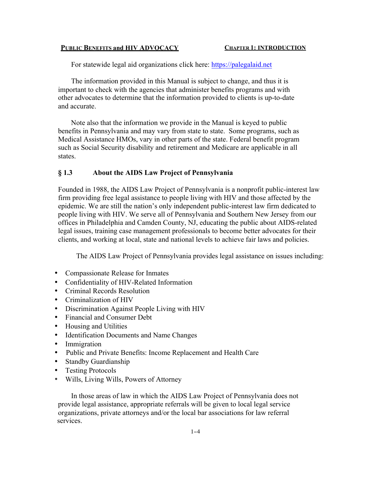For statewide legal aid organizations click here: https://palegalaid.net

The information provided in this Manual is subject to change, and thus it is important to check with the agencies that administer benefits programs and with other advocates to determine that the information provided to clients is up-to-date and accurate.

Note also that the information we provide in the Manual is keyed to public benefits in Pennsylvania and may vary from state to state. Some programs, such as Medical Assistance HMOs, vary in other parts of the state. Federal benefit program such as Social Security disability and retirement and Medicare are applicable in all states.

## **§ 1.3 About the AIDS Law Project of Pennsylvania**

Founded in 1988, the AIDS Law Project of Pennsylvania is a nonprofit public-interest law firm providing free legal assistance to people living with HIV and those affected by the epidemic. We are still the nation's only independent public-interest law firm dedicated to people living with HIV. We serve all of Pennsylvania and Southern New Jersey from our offices in Philadelphia and Camden County, NJ, educating the public about AIDS-related legal issues, training case management professionals to become better advocates for their clients, and working at local, state and national levels to achieve fair laws and policies.

The AIDS Law Project of Pennsylvania provides legal assistance on issues including:

- Compassionate Release for Inmates
- Confidentiality of HIV-Related Information
- Criminal Records Resolution
- Criminalization of HIV
- Discrimination Against People Living with HIV
- Financial and Consumer Debt
- Housing and Utilities
- Identification Documents and Name Changes
- Immigration
- Public and Private Benefits: Income Replacement and Health Care
- Standby Guardianship
- Testing Protocols
- Wills, Living Wills, Powers of Attorney

In those areas of law in which the AIDS Law Project of Pennsylvania does not provide legal assistance, appropriate referrals will be given to local legal service organizations, private attorneys and/or the local bar associations for law referral services.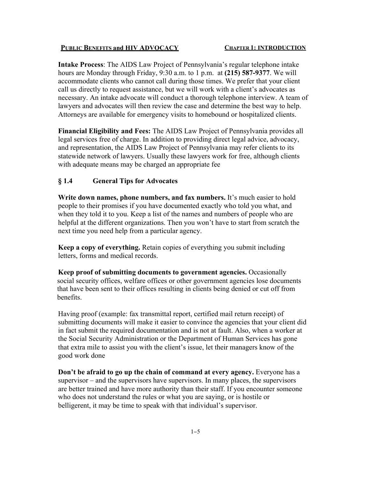**Intake Process**: The AIDS Law Project of Pennsylvania's regular telephone intake hours are Monday through Friday, 9:30 a.m. to 1 p.m. at **(215) 587-9377**. We will accommodate clients who cannot call during those times. We prefer that your client call us directly to request assistance, but we will work with a client's advocates as necessary. An intake advocate will conduct a thorough telephone interview. A team of lawyers and advocates will then review the case and determine the best way to help. Attorneys are available for emergency visits to homebound or hospitalized clients.

**Financial Eligibility and Fees:** The AIDS Law Project of Pennsylvania provides all legal services free of charge. In addition to providing direct legal advice, advocacy, and representation, the AIDS Law Project of Pennsylvania may refer clients to its statewide network of lawyers. Usually these lawyers work for free, although clients with adequate means may be charged an appropriate fee

# **§ 1.4 General Tips for Advocates**

**Write down names, phone numbers, and fax numbers.** It's much easier to hold people to their promises if you have documented exactly who told you what, and when they told it to you. Keep a list of the names and numbers of people who are helpful at the different organizations. Then you won't have to start from scratch the next time you need help from a particular agency.

**Keep a copy of everything.** Retain copies of everything you submit including letters, forms and medical records.

**Keep proof of submitting documents to government agencies.** Occasionally social security offices, welfare offices or other government agencies lose documents that have been sent to their offices resulting in clients being denied or cut off from benefits.

Having proof (example: fax transmittal report, certified mail return receipt) of submitting documents will make it easier to convince the agencies that your client did in fact submit the required documentation and is not at fault. Also, when a worker at the Social Security Administration or the Department of Human Services has gone that extra mile to assist you with the client's issue, let their managers know of the good work done

**Don't be afraid to go up the chain of command at every agency.** Everyone has a supervisor – and the supervisors have supervisors. In many places, the supervisors are better trained and have more authority than their staff. If you encounter someone who does not understand the rules or what you are saying, or is hostile or belligerent, it may be time to speak with that individual's supervisor.